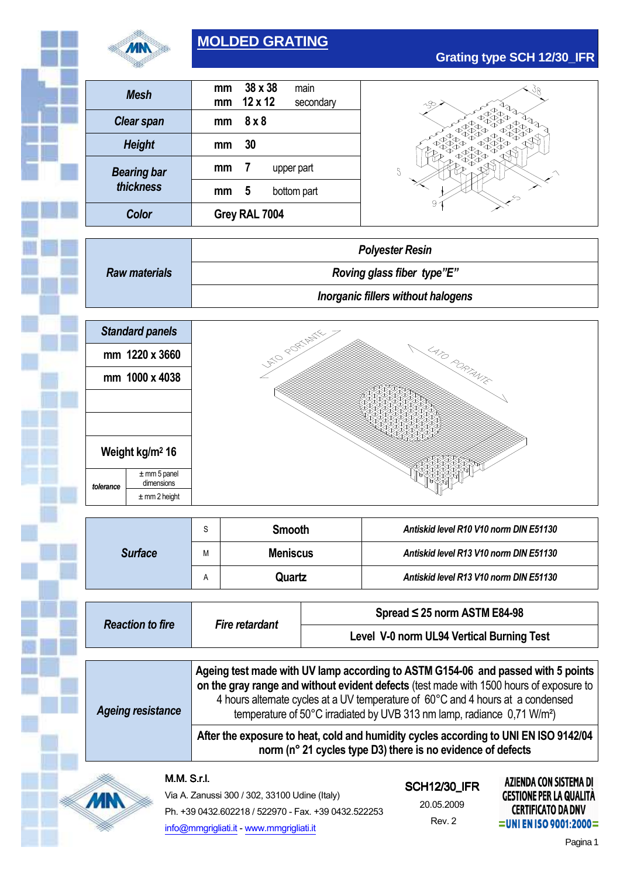

# **MOLDED GRATING**

| Mesh               | mm<br>mm      | 38 x 38<br>$12 \times 12$ | main<br>secondary |
|--------------------|---------------|---------------------------|-------------------|
| <b>Clear span</b>  | mm            | 8 x 8                     |                   |
| <b>Height</b>      | mm            | 30                        |                   |
| <b>Bearing bar</b> | mm            | 7                         | upper part        |
| thickness          | mm            | 5                         | bottom part       |
| Color              | Grey RAL 7004 |                           |                   |



|                      | <b>Polyester Resin</b>             |  |
|----------------------|------------------------------------|--|
| <b>Raw materials</b> | Roving glass fiber type"E"         |  |
|                      | Inorganic fillers without halogens |  |



|                | J            | <b>Smooth</b>   | Antiskid level R10 V10 norm DIN E51130 |  |
|----------------|--------------|-----------------|----------------------------------------|--|
| <b>Surface</b> | М            | <b>Meniscus</b> | Antiskid level R13 V10 norm DIN E51130 |  |
|                | $\mathsf{A}$ | Quartz          | Antiskid level R13 V10 norm DIN E51130 |  |

| <b>Reaction to fire</b>  | Fire retardant                                                                                                                                                                                                                                                                                                                                        | Spread $\leq$ 25 norm ASTM E84-98         |  |
|--------------------------|-------------------------------------------------------------------------------------------------------------------------------------------------------------------------------------------------------------------------------------------------------------------------------------------------------------------------------------------------------|-------------------------------------------|--|
|                          |                                                                                                                                                                                                                                                                                                                                                       | Level V-0 norm UL94 Vertical Burning Test |  |
|                          |                                                                                                                                                                                                                                                                                                                                                       |                                           |  |
| <b>Ageing resistance</b> | Ageing test made with UV lamp according to ASTM G154-06 and passed with 5 points<br>on the gray range and without evident defects (test made with 1500 hours of exposure to<br>4 hours alternate cycles at a UV temperature of 60°C and 4 hours at a condensed<br>temperature of 50°C irradiated by UVB 313 nm lamp, radiance 0,71 W/m <sup>2</sup> ) |                                           |  |
|                          | After the exposure to heat, cold and humidity cycles according to UNI EN ISO 9142/04<br>norm (n° 21 cycles type D3) there is no evidence of defects                                                                                                                                                                                                   |                                           |  |

#### M.M.S.r.l.

**MN** 

Via A. Zanussi 300 / 302, 33100 Udine (Italy) Ph. +39 0432.602218 / 522970 - Fax. +39 0432.522253 info@mmgrigliati.it - www.mmgrigliati.it

# **SCH12/30 IFR** 20.05.2009 Rev. 2

**AZIENDA CON SISTEMA DI GESTIONE PER LA QUALITÀ CERTIFICATO DA DNV** =UNI EN ISO 9001:2000 =